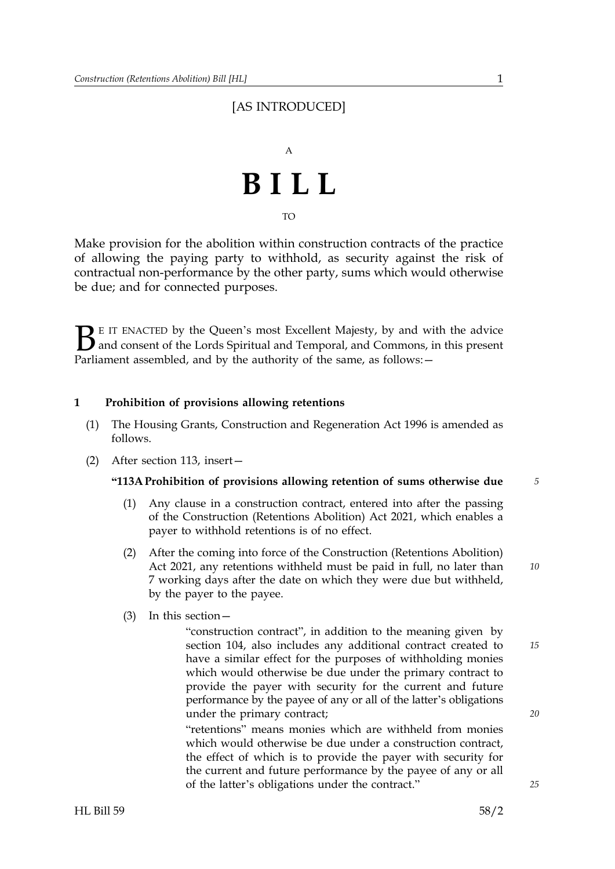## [AS INTRODUCED]



Make provision for the abolition within construction contracts of the practice of allowing the paying party to withhold, as security against the risk of contractual non-performance by the other party, sums which would otherwise be due; and for connected purposes.

 $\sum$  E IT ENACTED by the Queen's most Excellent Majesty, by and with the advice<br>and consent of the Lords Spiritual and Temporal, and Commons, in this present<br>Parliament assembled, and by the authority of the same as follo and consent of the Lords Spiritual and Temporal, and Commons, in this present Parliament assembled, and by the authority of the same, as follows: -

## **1 Prohibition of provisions allowing retentions**

- (1) The Housing Grants, Construction and Regeneration Act 1996 is amended as follows.
- (2) After section 113, insert—

#### **"113A Prohibition of provisions allowing retention of sums otherwise due** *5*

- (1) Any clause in a construction contract, entered into after the passing of the Construction (Retentions Abolition) Act 2021, which enables a payer to withhold retentions is of no effect.
- (2) After the coming into force of the Construction (Retentions Abolition) Act 2021, any retentions withheld must be paid in full, no later than 7 working days after the date on which they were due but withheld, by the payer to the payee.
- (3) In this section—

"construction contract", in addition to the meaning given by section 104, also includes any additional contract created to have a similar effect for the purposes of withholding monies which would otherwise be due under the primary contract to provide the payer with security for the current and future performance by the payee of any or all of the latter's obligations under the primary contract;

"retentions" means monies which are withheld from monies which would otherwise be due under a construction contract. the effect of which is to provide the payer with security for the current and future performance by the payee of any or all of the latter's obligations under the contract."

*20*

*25*

*15*

*10*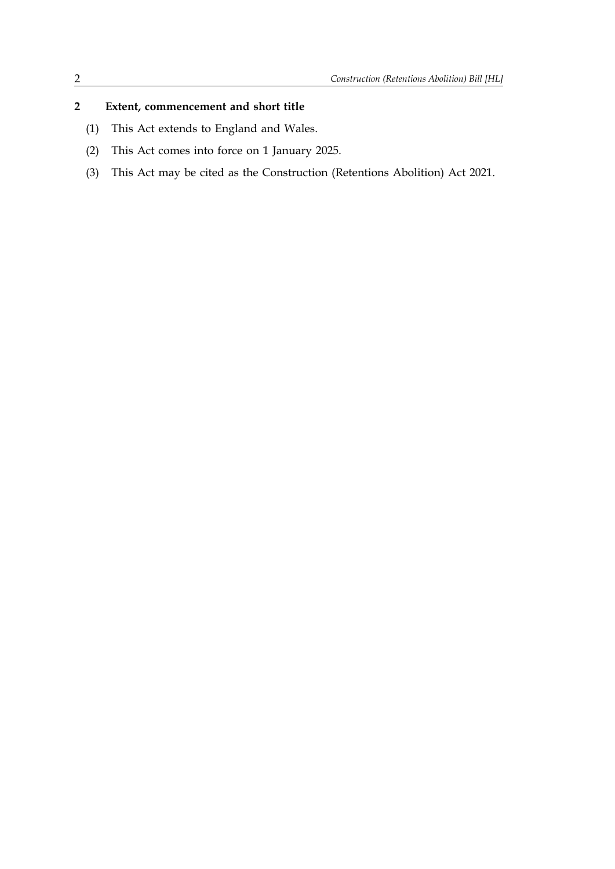## **2 Extent, commencement and short title**

- (1) This Act extends to England and Wales.
- (2) This Act comes into force on 1 January 2025.
- (3) This Act may be cited as the Construction (Retentions Abolition) Act 2021.